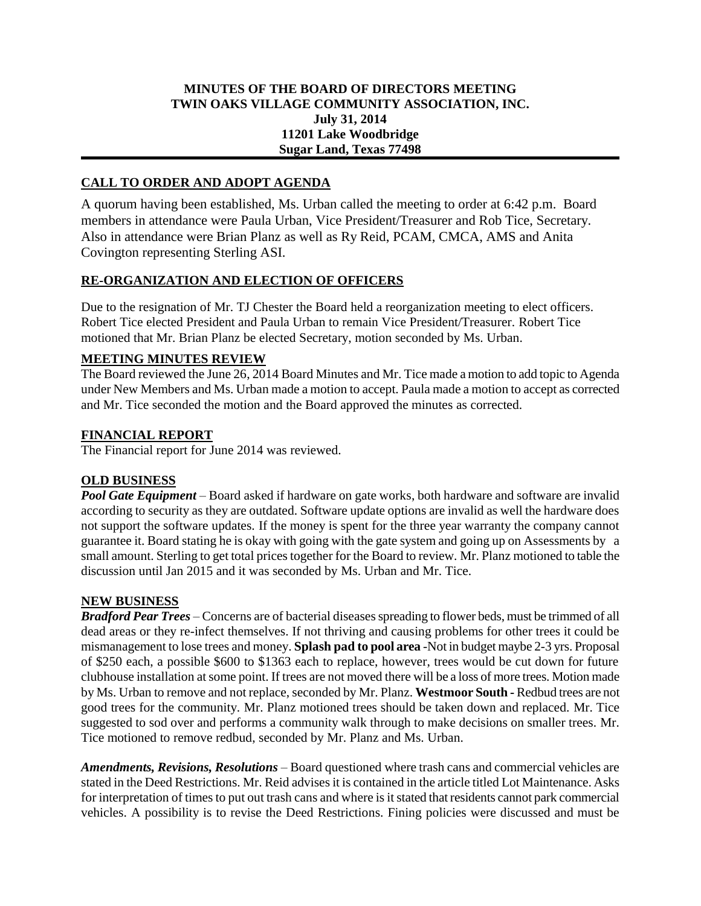## **MINUTES OF THE BOARD OF DIRECTORS MEETING TWIN OAKS VILLAGE COMMUNITY ASSOCIATION, INC. July 31, 2014 11201 Lake Woodbridge Sugar Land, Texas 77498**

# **CALL TO ORDER AND ADOPT AGENDA**

A quorum having been established, Ms. Urban called the meeting to order at 6:42 p.m. Board members in attendance were Paula Urban, Vice President/Treasurer and Rob Tice, Secretary. Also in attendance were Brian Planz as well as Ry Reid, PCAM, CMCA, AMS and Anita Covington representing Sterling ASI.

## **RE-ORGANIZATION AND ELECTION OF OFFICERS**

Due to the resignation of Mr. TJ Chester the Board held a reorganization meeting to elect officers. Robert Tice elected President and Paula Urban to remain Vice President/Treasurer. Robert Tice motioned that Mr. Brian Planz be elected Secretary, motion seconded by Ms. Urban.

#### **MEETING MINUTES REVIEW**

The Board reviewed the June 26, 2014 Board Minutes and Mr. Tice made a motion to add topic to Agenda under New Members and Ms. Urban made a motion to accept. Paula made a motion to accept as corrected and Mr. Tice seconded the motion and the Board approved the minutes as corrected.

#### **FINANCIAL REPORT**

The Financial report for June 2014 was reviewed.

## **OLD BUSINESS**

*Pool Gate Equipment* – Board asked if hardware on gate works, both hardware and software are invalid according to security as they are outdated. Software update options are invalid as well the hardware does not support the software updates. If the money is spent for the three year warranty the company cannot guarantee it. Board stating he is okay with going with the gate system and going up on Assessments by a small amount. Sterling to get total prices together for the Board to review. Mr. Planz motioned to table the discussion until Jan 2015 and it was seconded by Ms. Urban and Mr. Tice.

## **NEW BUSINESS**

*Bradford Pear Trees* – Concerns are of bacterial diseases spreading to flower beds, must be trimmed of all dead areas or they re-infect themselves. If not thriving and causing problems for other trees it could be mismanagement to lose trees and money. **Splash pad to pool area** -Not in budget maybe 2-3 yrs. Proposal of \$250 each, a possible \$600 to \$1363 each to replace, however, trees would be cut down for future clubhouse installation at some point. If trees are not moved there will be a loss of more trees. Motion made by Ms. Urban to remove and not replace, seconded by Mr. Planz. **Westmoor South -** Redbud trees are not good trees for the community. Mr. Planz motioned trees should be taken down and replaced. Mr. Tice suggested to sod over and performs a community walk through to make decisions on smaller trees. Mr. Tice motioned to remove redbud, seconded by Mr. Planz and Ms. Urban.

*Amendments, Revisions, Resolutions* – Board questioned where trash cans and commercial vehicles are stated in the Deed Restrictions. Mr. Reid advises it is contained in the article titled Lot Maintenance. Asks for interpretation of times to put out trash cans and where is it stated that residents cannot park commercial vehicles. A possibility is to revise the Deed Restrictions. Fining policies were discussed and must be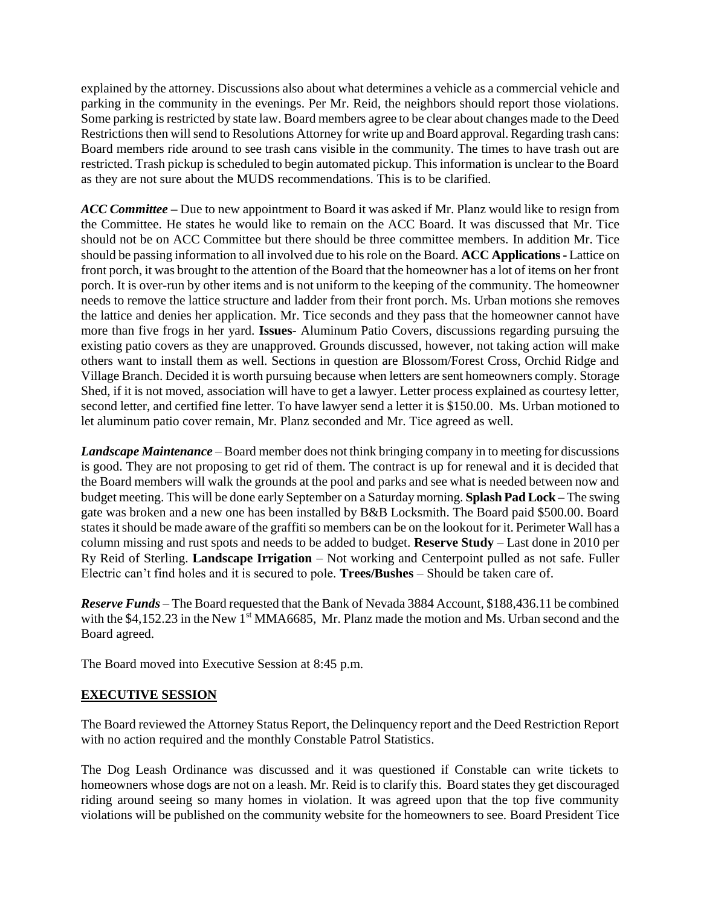explained by the attorney. Discussions also about what determines a vehicle as a commercial vehicle and parking in the community in the evenings. Per Mr. Reid, the neighbors should report those violations. Some parking is restricted by state law. Board members agree to be clear about changes made to the Deed Restrictions then will send to Resolutions Attorney for write up and Board approval. Regarding trash cans: Board members ride around to see trash cans visible in the community. The times to have trash out are restricted. Trash pickup is scheduled to begin automated pickup. This information is unclear to the Board as they are not sure about the MUDS recommendations. This is to be clarified.

*ACC Committee –* Due to new appointment to Board it was asked if Mr. Planz would like to resign from the Committee. He states he would like to remain on the ACC Board. It was discussed that Mr. Tice should not be on ACC Committee but there should be three committee members. In addition Mr. Tice should be passing information to all involved due to his role on the Board. **ACC Applications-** Lattice on front porch, it was brought to the attention of the Board that the homeowner has a lot of items on her front porch. It is over-run by other items and is not uniform to the keeping of the community. The homeowner needs to remove the lattice structure and ladder from their front porch. Ms. Urban motions she removes the lattice and denies her application. Mr. Tice seconds and they pass that the homeowner cannot have more than five frogs in her yard. **Issues**- Aluminum Patio Covers, discussions regarding pursuing the existing patio covers as they are unapproved. Grounds discussed, however, not taking action will make others want to install them as well. Sections in question are Blossom/Forest Cross, Orchid Ridge and Village Branch. Decided it is worth pursuing because when letters are sent homeowners comply. Storage Shed, if it is not moved, association will have to get a lawyer. Letter process explained as courtesy letter, second letter, and certified fine letter. To have lawyer send a letter it is \$150.00. Ms. Urban motioned to let aluminum patio cover remain, Mr. Planz seconded and Mr. Tice agreed as well.

*Landscape Maintenance* – Board member does not think bringing company in to meeting for discussions is good. They are not proposing to get rid of them. The contract is up for renewal and it is decided that the Board members will walk the grounds at the pool and parks and see what is needed between now and budget meeting. This will be done early September on a Saturday morning. **Splash Pad Lock –** The swing gate was broken and a new one has been installed by B&B Locksmith. The Board paid \$500.00. Board states it should be made aware of the graffiti so members can be on the lookout for it. Perimeter Wall has a column missing and rust spots and needs to be added to budget. **Reserve Study** – Last done in 2010 per Ry Reid of Sterling. **Landscape Irrigation** – Not working and Centerpoint pulled as not safe. Fuller Electric can't find holes and it is secured to pole. **Trees/Bushes** – Should be taken care of.

*Reserve Funds* – The Board requested that the Bank of Nevada 3884 Account, \$188,436.11 be combined with the \$4,152.23 in the New  $1<sup>st</sup> MMA6685$ , Mr. Planz made the motion and Ms. Urban second and the Board agreed.

The Board moved into Executive Session at 8:45 p.m.

## **EXECUTIVE SESSION**

The Board reviewed the Attorney Status Report, the Delinquency report and the Deed Restriction Report with no action required and the monthly Constable Patrol Statistics.

The Dog Leash Ordinance was discussed and it was questioned if Constable can write tickets to homeowners whose dogs are not on a leash. Mr. Reid is to clarify this. Board states they get discouraged riding around seeing so many homes in violation. It was agreed upon that the top five community violations will be published on the community website for the homeowners to see. Board President Tice